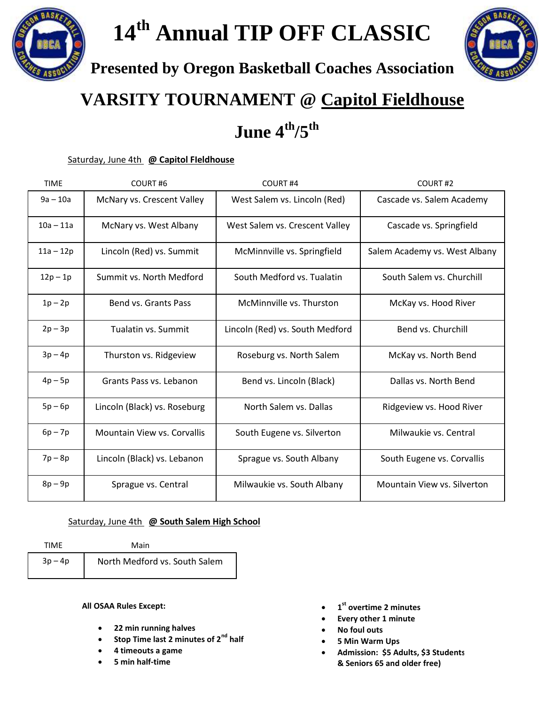**14th Annual TIP OFF CLASSIC**



**Presented by Oregon Basketball Coaches Association**

## **VARSITY TOURNAMENT @ Capitol Fieldhouse**

 **June 4 th/5th**

Saturday, June 4th **@ Capitol FIeldhouse**

| <b>TIME</b> | COURT#6                            | COURT <sub>#4</sub>             | COURT#2                       |
|-------------|------------------------------------|---------------------------------|-------------------------------|
| $9a - 10a$  | McNary vs. Crescent Valley         | West Salem vs. Lincoln (Red)    | Cascade vs. Salem Academy     |
| $10a - 11a$ | McNary vs. West Albany             | West Salem vs. Crescent Valley  | Cascade vs. Springfield       |
| $11a - 12p$ | Lincoln (Red) vs. Summit           | McMinnville vs. Springfield     | Salem Academy vs. West Albany |
| $12p - 1p$  | Summit vs. North Medford           | South Medford vs. Tualatin      | South Salem vs. Churchill     |
| $1p-2p$     | Bend vs. Grants Pass               | McMinnville vs. Thurston        | McKay vs. Hood River          |
| $2p - 3p$   | Tualatin vs. Summit                | Lincoln (Red) vs. South Medford | Bend vs. Churchill            |
| $3p-4p$     | Thurston vs. Ridgeview             | Roseburg vs. North Salem        | McKay vs. North Bend          |
| $4p-5p$     | Grants Pass vs. Lebanon            | Bend vs. Lincoln (Black)        | Dallas vs. North Bend         |
| $5p - 6p$   | Lincoln (Black) vs. Roseburg       | North Salem vs. Dallas          | Ridgeview vs. Hood River      |
| $6p - 7p$   | <b>Mountain View vs. Corvallis</b> | South Eugene vs. Silverton      | Milwaukie vs. Central         |
| $7p - 8p$   | Lincoln (Black) vs. Lebanon        | Sprague vs. South Albany        | South Eugene vs. Corvallis    |
| $8p-9p$     | Sprague vs. Central                | Milwaukie vs. South Albany      | Mountain View vs. Silverton   |

## Saturday, June 4th **@ South Salem High School**

TIME Main

 $3p - 4p$  North Medford vs. South Salem

**All OSAA Rules Except:**

- **22 min running halves**
- **Stop Time last 2 minutes of 2nd half**
- **4 timeouts a game**
- **5 min half-time**
- **1 st overtime 2 minutes**
- **Every other 1 minute**
- **No foul outs**
- **5 Min Warm Ups**
- Admission: \$5 Adults, \$3 Students **& Seniors 65 and older free)**